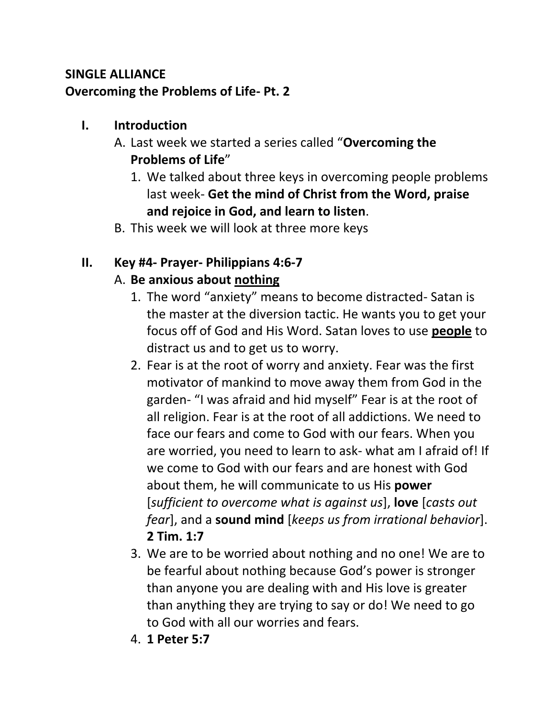### **SINGLE ALLIANCE Overcoming the Problems of Life- Pt. 2**

#### **I. Introduction**

- A. Last week we started a series called "**Overcoming the Problems of Life**"
	- 1. We talked about three keys in overcoming people problems last week- **Get the mind of Christ from the Word, praise and rejoice in God, and learn to listen**.
- B. This week we will look at three more keys

# **II. Key #4- Prayer- Philippians 4:6-7**

# A. **Be anxious about nothing**

- 1. The word "anxiety" means to become distracted- Satan is the master at the diversion tactic. He wants you to get your focus off of God and His Word. Satan loves to use **people** to distract us and to get us to worry.
- 2. Fear is at the root of worry and anxiety. Fear was the first motivator of mankind to move away them from God in the garden- "I was afraid and hid myself" Fear is at the root of all religion. Fear is at the root of all addictions. We need to face our fears and come to God with our fears. When you are worried, you need to learn to ask- what am I afraid of! If we come to God with our fears and are honest with God about them, he will communicate to us His **power** [*sufficient to overcome what is against us*], **love** [*casts out fear*], and a **sound mind** [*keeps us from irrational behavior*]. **2 Tim. 1:7**
- 3. We are to be worried about nothing and no one! We are to be fearful about nothing because God's power is stronger than anyone you are dealing with and His love is greater than anything they are trying to say or do! We need to go to God with all our worries and fears.
- 4. **1 Peter 5:7**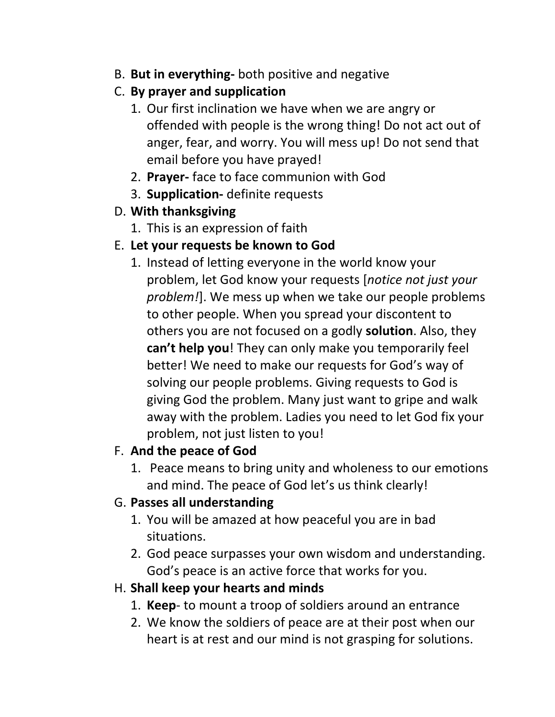B. **But in everything-** both positive and negative

### C. **By prayer and supplication**

- 1. Our first inclination we have when we are angry or offended with people is the wrong thing! Do not act out of anger, fear, and worry. You will mess up! Do not send that email before you have prayed!
- 2. **Prayer-** face to face communion with God
- 3. **Supplication-** definite requests

# D. **With thanksgiving**

1. This is an expression of faith

# E. **Let your requests be known to God**

1. Instead of letting everyone in the world know your problem, let God know your requests [*notice not just your problem!*]. We mess up when we take our people problems to other people. When you spread your discontent to others you are not focused on a godly **solution**. Also, they **can't help you**! They can only make you temporarily feel better! We need to make our requests for God's way of solving our people problems. Giving requests to God is giving God the problem. Many just want to gripe and walk away with the problem. Ladies you need to let God fix your problem, not just listen to you!

# F. **And the peace of God**

1. Peace means to bring unity and wholeness to our emotions and mind. The peace of God let's us think clearly!

# G. **Passes all understanding**

- 1. You will be amazed at how peaceful you are in bad situations.
- 2. God peace surpasses your own wisdom and understanding. God's peace is an active force that works for you.

# H. **Shall keep your hearts and minds**

- 1. **Keep** to mount a troop of soldiers around an entrance
- 2. We know the soldiers of peace are at their post when our heart is at rest and our mind is not grasping for solutions.